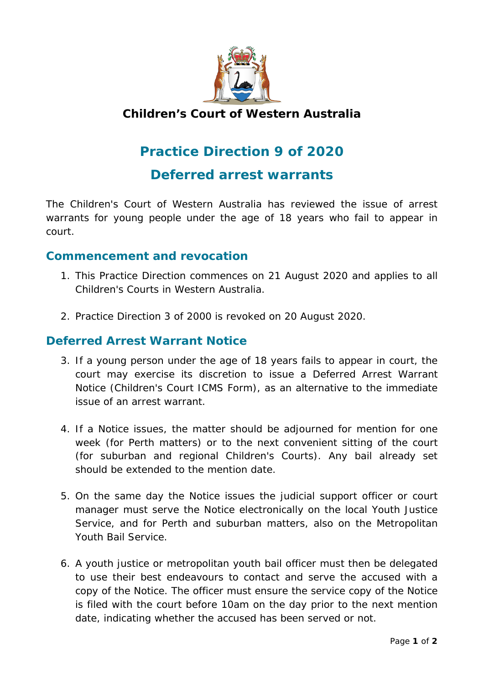

## **Children's Court of Western Australia**

## **Practice Direction 9 of 2020**

**Deferred arrest warrants**

The Children's Court of Western Australia has reviewed the issue of arrest warrants for young people under the age of 18 years who fail to appear in court.

## **Commencement and revocation**

- 1. This Practice Direction commences on 21 August 2020 and applies to all Children's Courts in Western Australia.
- 2. Practice Direction 3 of 2000 is revoked on 20 August 2020.

## **Deferred Arrest Warrant Notice**

- 3. If a young person under the age of 18 years fails to appear in court, the court may exercise its discretion to issue a Deferred Arrest Warrant Notice (Children's Court ICMS Form), as an alternative to the immediate issue of an arrest warrant.
- 4. If a Notice issues, the matter should be adjourned for mention for one week (for Perth matters) or to the next convenient sitting of the court (for suburban and regional Children's Courts). Any bail already set should be extended to the mention date.
- 5. On the same day the Notice issues the judicial support officer or court manager must serve the Notice electronically on the local Youth Justice Service, and for Perth and suburban matters, also on the Metropolitan Youth Bail Service.
- 6. A youth justice or metropolitan youth bail officer must then be delegated to use their best endeavours to contact and serve the accused with a copy of the Notice. The officer must ensure the service copy of the Notice is filed with the court before 10am on the day prior to the next mention date, indicating whether the accused has been served or not.